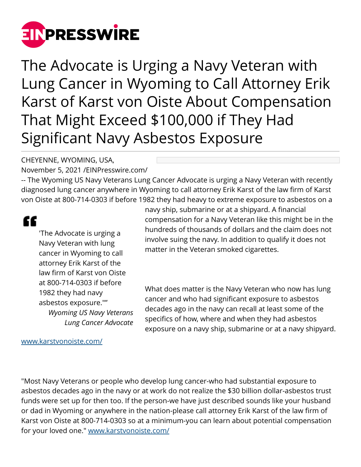

The Advocate is Urging a Navy Veteran with Lung Cancer in Wyoming to Call Attorney Erik Karst of Karst von Oiste About Compensation That Might Exceed \$100,000 if They Had Significant Navy Asbestos Exposure

## CHEYENNE, WYOMING, USA,

November 5, 2021 /[EINPresswire.com/](http://www.einpresswire.com)

-- The Wyoming US Navy Veterans Lung Cancer Advocate is urging a Navy Veteran with recently diagnosed lung cancer anywhere in Wyoming to call attorney Erik Karst of the law firm of Karst von Oiste at 800-714-0303 if before 1982 they had heavy to extreme exposure to asbestos on a

## ££

'The Advocate is urging a Navy Veteran with lung cancer in Wyoming to call attorney Erik Karst of the law firm of Karst von Oiste at 800-714-0303 if before 1982 they had navy asbestos exposure."" *Wyoming US Navy Veterans Lung Cancer Advocate*

navy ship, submarine or at a shipyard. A financial compensation for a Navy Veteran like this might be in the hundreds of thousands of dollars and the claim does not involve suing the navy. In addition to qualify it does not matter in the Veteran smoked cigarettes.

What does matter is the Navy Veteran who now has lung cancer and who had significant exposure to asbestos decades ago in the navy can recall at least some of the specifics of how, where and when they had asbestos exposure on a navy ship, submarine or at a navy shipyard.

[www.karstvonoiste.com/](http://www.karstvonoiste.com/)

"Most Navy Veterans or people who develop lung cancer-who had substantial exposure to asbestos decades ago in the navy or at work do not realize the \$30 billion dollar-asbestos trust funds were set up for then too. If the person-we have just described sounds like your husband or dad in Wyoming or anywhere in the nation-please call attorney Erik Karst of the law firm of Karst von Oiste at 800-714-0303 so at a minimum-you can learn about potential compensation for your loved one." [www.karstvonoiste.com/](http://www.karstvonoiste.com/)